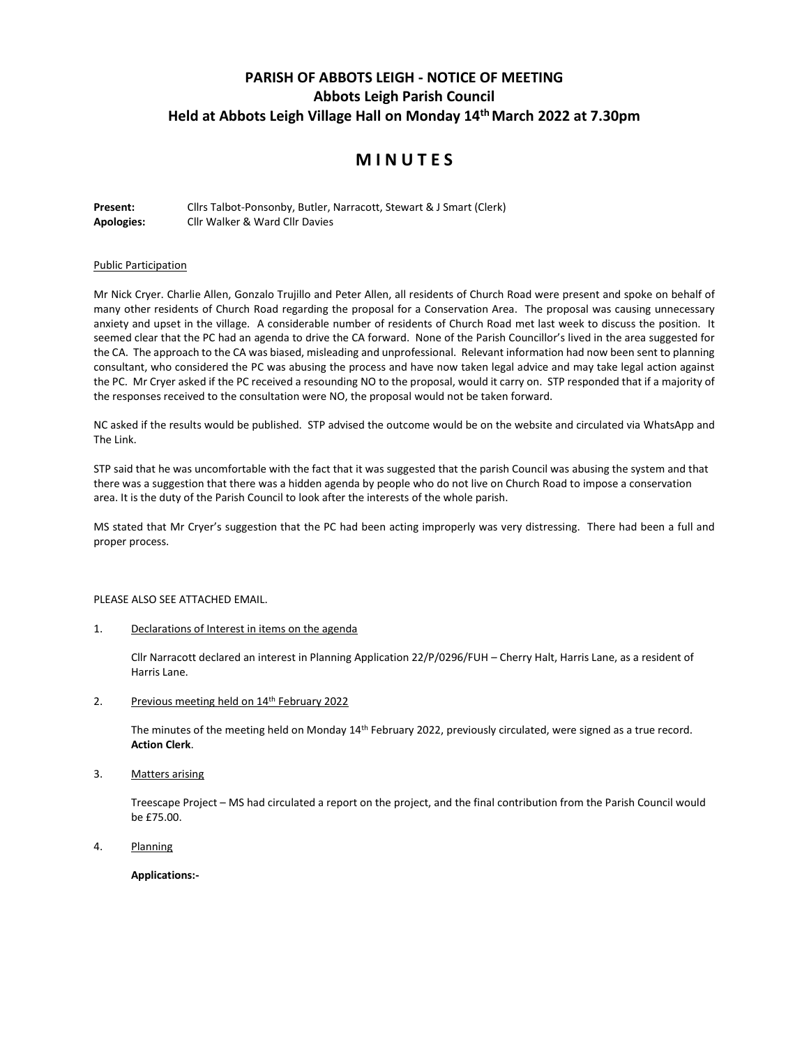## **PARISH OF ABBOTS LEIGH - NOTICE OF MEETING Abbots Leigh Parish Council Held at Abbots Leigh Village Hall on Monday 14 thMarch 2022 at 7.30pm**

# **M I N U T E S**

Present: Cllrs Talbot-Ponsonby, Butler, Narracott, Stewart & J Smart (Clerk) **Apologies:** Cllr Walker & Ward Cllr Davies

### Public Participation

Mr Nick Cryer. Charlie Allen, Gonzalo Trujillo and Peter Allen, all residents of Church Road were present and spoke on behalf of many other residents of Church Road regarding the proposal for a Conservation Area. The proposal was causing unnecessary anxiety and upset in the village. A considerable number of residents of Church Road met last week to discuss the position. It seemed clear that the PC had an agenda to drive the CA forward. None of the Parish Councillor's lived in the area suggested for the CA. The approach to the CA was biased, misleading and unprofessional. Relevant information had now been sent to planning consultant, who considered the PC was abusing the process and have now taken legal advice and may take legal action against the PC. Mr Cryer asked if the PC received a resounding NO to the proposal, would it carry on. STP responded that if a majority of the responses received to the consultation were NO, the proposal would not be taken forward.

NC asked if the results would be published. STP advised the outcome would be on the website and circulated via WhatsApp and The Link.

STP said that he was uncomfortable with the fact that it was suggested that the parish Council was abusing the system and that there was a suggestion that there was a hidden agenda by people who do not live on Church Road to impose a conservation area. It is the duty of the Parish Council to look after the interests of the whole parish.

MS stated that Mr Cryer's suggestion that the PC had been acting improperly was very distressing. There had been a full and proper process.

### PLEASE ALSO SEE ATTACHED EMAIL.

### 1. Declarations of Interest in items on the agenda

Cllr Narracott declared an interest in Planning Application 22/P/0296/FUH – Cherry Halt, Harris Lane, as a resident of Harris Lane.

2. Previous meeting held on 14<sup>th</sup> February 2022

The minutes of the meeting held on Monday 14<sup>th</sup> February 2022, previously circulated, were signed as a true record. **Action Clerk**.

3. Matters arising

Treescape Project – MS had circulated a report on the project, and the final contribution from the Parish Council would be £75.00.

4. Planning

### **Applications:-**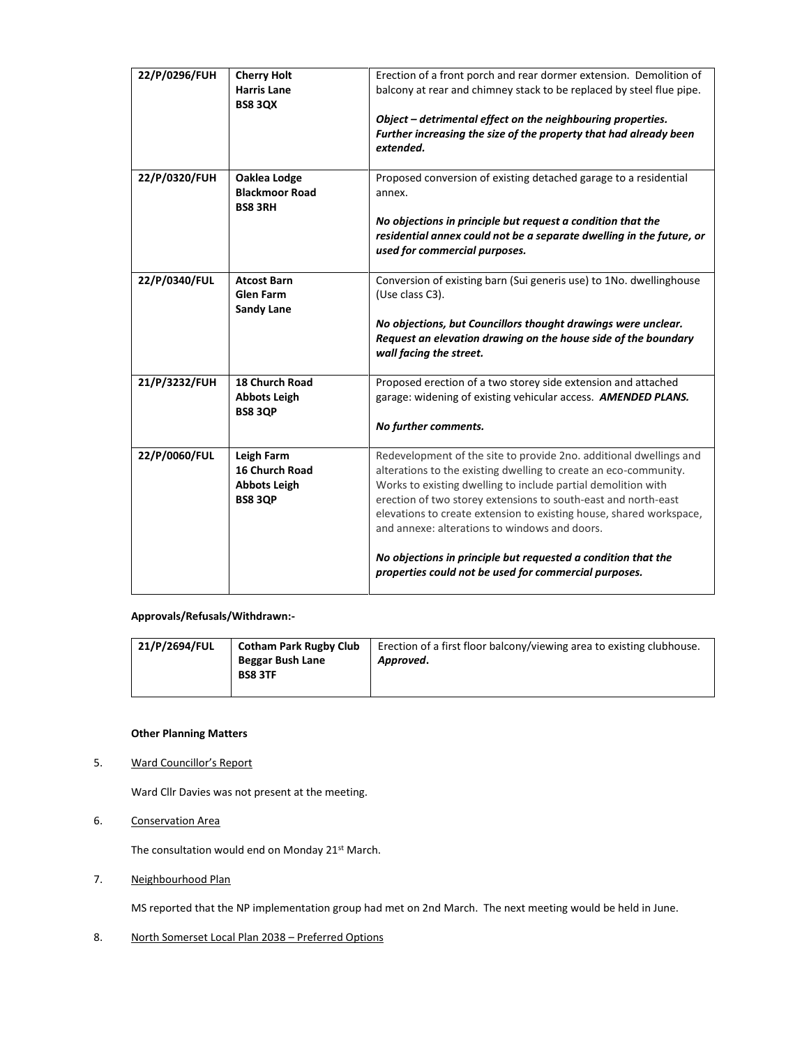| 22/P/0296/FUH | <b>Cherry Holt</b><br><b>Harris Lane</b> | Erection of a front porch and rear dormer extension. Demolition of<br>balcony at rear and chimney stack to be replaced by steel flue pipe. |
|---------------|------------------------------------------|--------------------------------------------------------------------------------------------------------------------------------------------|
|               | <b>BS8 3QX</b>                           |                                                                                                                                            |
|               |                                          | Object – detrimental effect on the neighbouring properties.                                                                                |
|               |                                          | Further increasing the size of the property that had already been<br>extended.                                                             |
| 22/P/0320/FUH | Oaklea Lodge                             | Proposed conversion of existing detached garage to a residential                                                                           |
|               | <b>Blackmoor Road</b><br><b>BS8 3RH</b>  | annex.                                                                                                                                     |
|               |                                          | No objections in principle but request a condition that the                                                                                |
|               |                                          | residential annex could not be a separate dwelling in the future, or<br>used for commercial purposes.                                      |
|               |                                          |                                                                                                                                            |
| 22/P/0340/FUL | <b>Atcost Barn</b>                       | Conversion of existing barn (Sui generis use) to 1No. dwellinghouse                                                                        |
|               | <b>Glen Farm</b>                         | (Use class C3).                                                                                                                            |
|               | <b>Sandy Lane</b>                        | No objections, but Councillors thought drawings were unclear.                                                                              |
|               |                                          | Request an elevation drawing on the house side of the boundary<br>wall facing the street.                                                  |
|               |                                          |                                                                                                                                            |
| 21/P/3232/FUH | <b>18 Church Road</b>                    | Proposed erection of a two storey side extension and attached                                                                              |
|               | <b>Abbots Leigh</b><br><b>BS8 3QP</b>    | garage: widening of existing vehicular access. AMENDED PLANS.                                                                              |
|               |                                          | No further comments.                                                                                                                       |
|               |                                          |                                                                                                                                            |
| 22/P/0060/FUL | Leigh Farm                               | Redevelopment of the site to provide 2no. additional dwellings and                                                                         |
|               | 16 Church Road<br><b>Abbots Leigh</b>    | alterations to the existing dwelling to create an eco-community.<br>Works to existing dwelling to include partial demolition with          |
|               | <b>BS8 3QP</b>                           | erection of two storey extensions to south-east and north-east                                                                             |
|               |                                          | elevations to create extension to existing house, shared workspace,                                                                        |
|               |                                          | and annexe: alterations to windows and doors.                                                                                              |
|               |                                          | No objections in principle but requested a condition that the                                                                              |
|               |                                          | properties could not be used for commercial purposes.                                                                                      |

### **Approvals/Refusals/Withdrawn:-**

| 21/P/2694/FUL<br><b>Cotham Park Rugby Club</b><br>Beggar Bush Lane<br><b>BS8 3TF</b> | Erection of a first floor balcony/viewing area to existing clubhouse.<br>Approved. |
|--------------------------------------------------------------------------------------|------------------------------------------------------------------------------------|
|--------------------------------------------------------------------------------------|------------------------------------------------------------------------------------|

### **Other Planning Matters**

5. Ward Councillor's Report

Ward Cllr Davies was not present at the meeting.

6. Conservation Area

The consultation would end on Monday 21st March.

7. Neighbourhood Plan

MS reported that the NP implementation group had met on 2nd March. The next meeting would be held in June.

8. North Somerset Local Plan 2038 – Preferred Options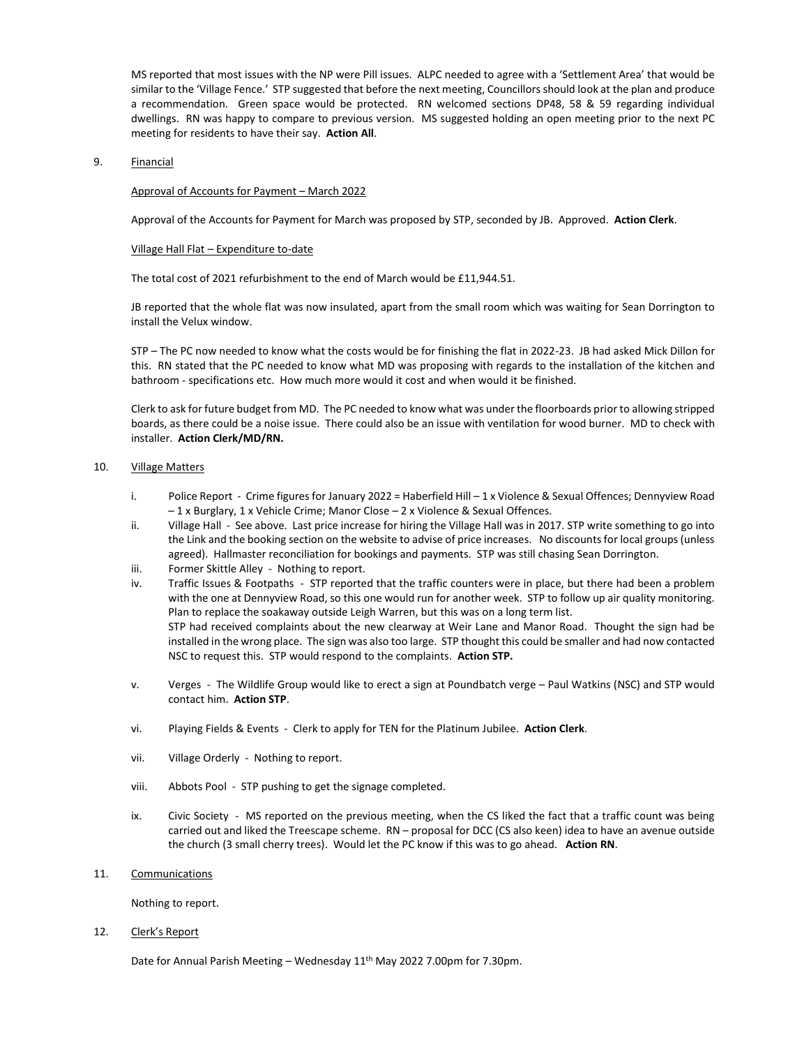MS reported that most issues with the NP were Pill issues. ALPC needed to agree with a 'Settlement Area' that would be similar to the 'Village Fence.' STP suggested that before the next meeting, Councillors should look at the plan and produce a recommendation. Green space would be protected. RN welcomed sections DP48, 58 & 59 regarding individual dwellings. RN was happy to compare to previous version. MS suggested holding an open meeting prior to the next PC meeting for residents to have their say. **Action All**.

### 9. Financial

### Approval of Accounts for Payment – March 2022

Approval of the Accounts for Payment for March was proposed by STP, seconded by JB. Approved. **Action Clerk**.

#### Village Hall Flat – Expenditure to-date

The total cost of 2021 refurbishment to the end of March would be £11,944.51.

JB reported that the whole flat was now insulated, apart from the small room which was waiting for Sean Dorrington to install the Velux window.

STP – The PC now needed to know what the costs would be for finishing the flat in 2022-23. JB had asked Mick Dillon for this. RN stated that the PC needed to know what MD was proposing with regards to the installation of the kitchen and bathroom - specifications etc. How much more would it cost and when would it be finished.

Clerk to ask for future budget from MD. The PC needed to know what was under the floorboards prior to allowing stripped boards, as there could be a noise issue. There could also be an issue with ventilation for wood burner. MD to check with installer. **Action Clerk/MD/RN.**

#### 10. Village Matters

- i. Police Report Crime figures for January 2022 = Haberfield Hill 1 x Violence & Sexual Offences; Dennyview Road – 1 x Burglary, 1 x Vehicle Crime; Manor Close – 2 x Violence & Sexual Offences.
- ii. Village Hall See above. Last price increase for hiring the Village Hall was in 2017. STP write something to go into the Link and the booking section on the website to advise of price increases. No discounts for local groups (unless agreed). Hallmaster reconciliation for bookings and payments. STP was still chasing Sean Dorrington.
- iii. Former Skittle Alley Nothing to report.
- iv. Traffic Issues & Footpaths STP reported that the traffic counters were in place, but there had been a problem with the one at Dennyview Road, so this one would run for another week. STP to follow up air quality monitoring. Plan to replace the soakaway outside Leigh Warren, but this was on a long term list. STP had received complaints about the new clearway at Weir Lane and Manor Road. Thought the sign had be installed in the wrong place. The sign was also too large. STP thought this could be smaller and had now contacted NSC to request this. STP would respond to the complaints. **Action STP.**
- v. Verges The Wildlife Group would like to erect a sign at Poundbatch verge Paul Watkins (NSC) and STP would contact him. **Action STP**.
- vi. Playing Fields & Events Clerk to apply for TEN for the Platinum Jubilee. **Action Clerk**.
- vii. Village Orderly Nothing to report.
- viii. Abbots Pool STP pushing to get the signage completed.
- ix. Civic Society MS reported on the previous meeting, when the CS liked the fact that a traffic count was being carried out and liked the Treescape scheme. RN – proposal for DCC (CS also keen) idea to have an avenue outside the church (3 small cherry trees). Would let the PC know if this was to go ahead. **Action RN**.
- 11. Communications

Nothing to report.

12. Clerk's Report

Date for Annual Parish Meeting - Wednesday 11<sup>th</sup> May 2022 7.00pm for 7.30pm.